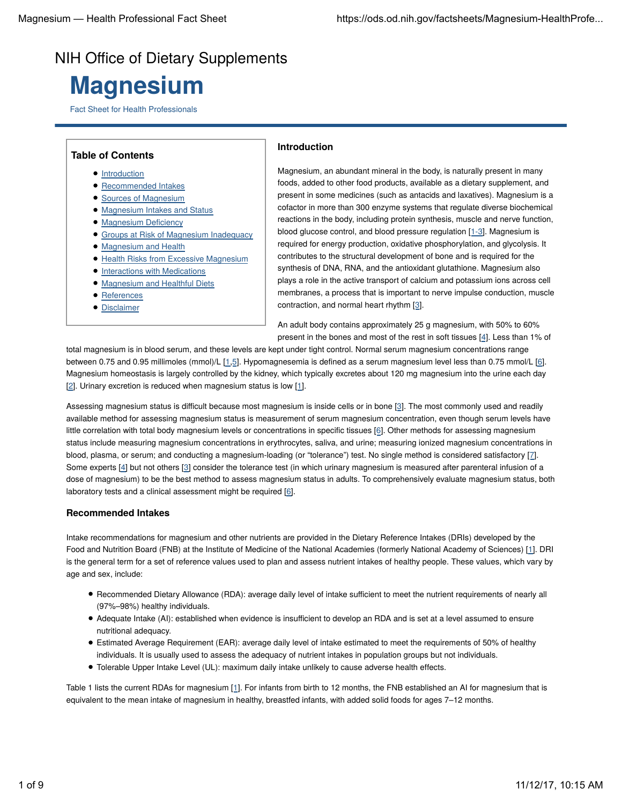# NIH Office of Dietary Supplements

# **Magnesium**

Fact Sheet for Health Professionals

| <b>Table of Contents</b>       |
|--------------------------------|
| • Introduction                 |
| • Recommended Intakes          |
| • Sources of Magnesium         |
| • Magnesium Intakes and Status |
| • Magnesium Deficiency         |

- Groups at Risk of Magnesium Inadequacy
- Magnesium and Health
- Health Risks from Excessive Magnesium
- **Interactions with Medications**
- Magnesium and Healthful Diets
- **References**
- Disclaimer

# **Introduction**

Magnesium, an abundant mineral in the body, is naturally present in many foods, added to other food products, available as a dietary supplement, and present in some medicines (such as antacids and laxatives). Magnesium is a cofactor in more than 300 enzyme systems that regulate diverse biochemical reactions in the body, including protein synthesis, muscle and nerve function, blood glucose control, and blood pressure regulation [1-3]. Magnesium is required for energy production, oxidative phosphorylation, and glycolysis. It contributes to the structural development of bone and is required for the synthesis of DNA, RNA, and the antioxidant glutathione. Magnesium also plays a role in the active transport of calcium and potassium ions across cell membranes, a process that is important to nerve impulse conduction, muscle contraction, and normal heart rhythm [3].

An adult body contains approximately 25 g magnesium, with 50% to 60% present in the bones and most of the rest in soft tissues [4]. Less than 1% of

total magnesium is in blood serum, and these levels are kept under tight control. Normal serum magnesium concentrations range between 0.75 and 0.95 millimoles (mmol)/L [1,5]. Hypomagnesemia is defined as a serum magnesium level less than 0.75 mmol/L [6]. Magnesium homeostasis is largely controlled by the kidney, which typically excretes about 120 mg magnesium into the urine each day [2]. Urinary excretion is reduced when magnesium status is low [1].

Assessing magnesium status is difficult because most magnesium is inside cells or in bone [3]. The most commonly used and readily available method for assessing magnesium status is measurement of serum magnesium concentration, even though serum levels have little correlation with total body magnesium levels or concentrations in specific tissues [6]. Other methods for assessing magnesium status include measuring magnesium concentrations in erythrocytes, saliva, and urine; measuring ionized magnesium concentrations in blood, plasma, or serum; and conducting a magnesium-loading (or "tolerance") test. No single method is considered satisfactory [7]. Some experts [4] but not others [3] consider the tolerance test (in which urinary magnesium is measured after parenteral infusion of a dose of magnesium) to be the best method to assess magnesium status in adults. To comprehensively evaluate magnesium status, both laboratory tests and a clinical assessment might be required [6].

# **Recommended Intakes**

Intake recommendations for magnesium and other nutrients are provided in the Dietary Reference Intakes (DRIs) developed by the Food and Nutrition Board (FNB) at the Institute of Medicine of the National Academies (formerly National Academy of Sciences) [1]. DRI is the general term for a set of reference values used to plan and assess nutrient intakes of healthy people. These values, which vary by age and sex, include:

- Recommended Dietary Allowance (RDA): average daily level of intake sufficient to meet the nutrient requirements of nearly all (97%–98%) healthy individuals.
- Adequate Intake (AI): established when evidence is insufficient to develop an RDA and is set at a level assumed to ensure nutritional adequacy.
- Estimated Average Requirement (EAR): average daily level of intake estimated to meet the requirements of 50% of healthy individuals. It is usually used to assess the adequacy of nutrient intakes in population groups but not individuals.
- Tolerable Upper Intake Level (UL): maximum daily intake unlikely to cause adverse health effects.

Table 1 lists the current RDAs for magnesium [1]. For infants from birth to 12 months, the FNB established an AI for magnesium that is equivalent to the mean intake of magnesium in healthy, breastfed infants, with added solid foods for ages 7–12 months.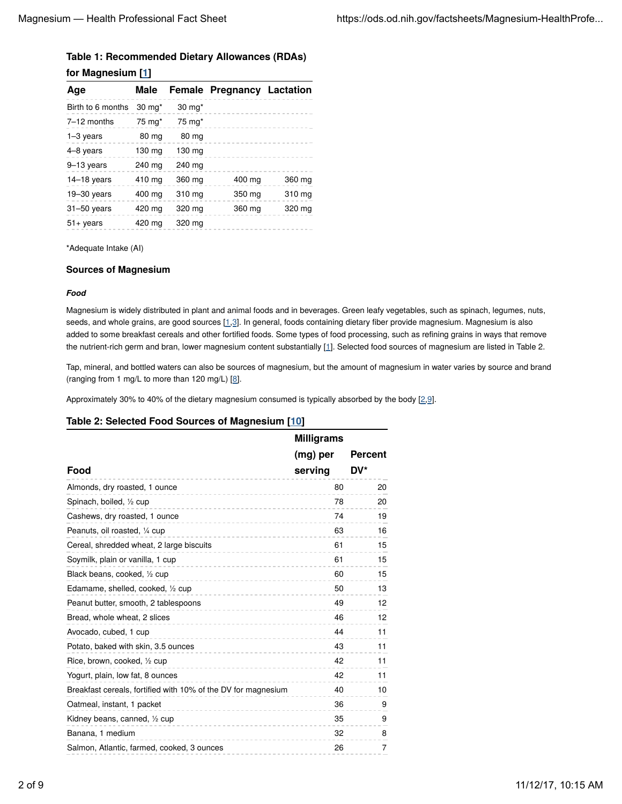# **Table 1: Recommended Dietary Allowances (RDAs) for Magnesium [1]**

| . .                |                   |                   |                                   |        |  |
|--------------------|-------------------|-------------------|-----------------------------------|--------|--|
| Age                | Male              |                   | <b>Female Pregnancy Lactation</b> |        |  |
| Birth to 6 months  | 30 mg*            | $30 \text{ mg}^*$ |                                   |        |  |
| 7-12 months        | $75 \text{ mg}^*$ | $75 \text{ mg}^*$ |                                   |        |  |
| $1-3$ years        | 80 mg             | 80 mg             |                                   |        |  |
| 4-8 years          | 130 mg            | 130 mg            |                                   |        |  |
| 9-13 years         | 240 mg            | 240 mg            |                                   |        |  |
| $14-18$ years      | 410 mg            | 360 mg            | 400 mg                            | 360 mg |  |
| $19 - 30$ years    | 400 mg            | 310 mg            | 350 mg                            | 310 mg |  |
| $31 - 50$ years    | 420 mg            | 320 mg            | 360 mg                            | 320 mg |  |
| $51 + \gamma$ ears | 420 mg            | 320 mg            |                                   |        |  |
|                    |                   |                   |                                   |        |  |

\*Adequate Intake (AI)

# **Sources of Magnesium**

# *Food*

Magnesium is widely distributed in plant and animal foods and in beverages. Green leafy vegetables, such as spinach, legumes, nuts, seeds, and whole grains, are good sources [1,3]. In general, foods containing dietary fiber provide magnesium. Magnesium is also added to some breakfast cereals and other fortified foods. Some types of food processing, such as refining grains in ways that remove the nutrient-rich germ and bran, lower magnesium content substantially [1]. Selected food sources of magnesium are listed in Table 2.

Tap, mineral, and bottled waters can also be sources of magnesium, but the amount of magnesium in water varies by source and brand (ranging from 1 mg/L to more than 120 mg/L)  $[8]$ .

Approximately 30% to 40% of the dietary magnesium consumed is typically absorbed by the body  $[2,9]$ .

# **Table 2: Selected Food Sources of Magnesium [10]**

|                                                               | <b>Milligrams</b> |         |  |
|---------------------------------------------------------------|-------------------|---------|--|
|                                                               | (mg) per          | Percent |  |
| Food                                                          | serving           | DV*     |  |
| Almonds, dry roasted, 1 ounce                                 | 80                | 20      |  |
| Spinach, boiled, 1/2 cup                                      | 78                | 20      |  |
| Cashews, dry roasted, 1 ounce                                 | 74                | 19      |  |
| Peanuts, oil roasted, 1/4 cup<br>----------------             | 63                | 16      |  |
| Cereal, shredded wheat, 2 large biscuits                      | 61                | 15      |  |
| Soymilk, plain or vanilla, 1 cup                              | 61                | 15      |  |
| Black beans, cooked, 1/2 cup                                  | 60                | 15      |  |
| Edamame, shelled, cooked, 1/2 cup<br>.                        | 50                | 13      |  |
| Peanut butter, smooth, 2 tablespoons                          | 49                | 12      |  |
| Bread, whole wheat, 2 slices                                  | 46                | 12      |  |
| Avocado, cubed, 1 cup                                         | 44                | 11      |  |
| Potato, baked with skin, 3.5 ounces                           | 43                | 11      |  |
| Rice, brown, cooked, 1/2 cup                                  | 42                | 11      |  |
| Yogurt, plain, low fat, 8 ounces                              | 42                | 11      |  |
| Breakfast cereals, fortified with 10% of the DV for magnesium | 40                | 10      |  |
| Oatmeal, instant, 1 packet                                    | 36                | 9       |  |
| Kidney beans, canned, 1/2 cup                                 | 35                | 9       |  |
| Banana, 1 medium                                              | 32                | 8       |  |
| Salmon, Atlantic, farmed, cooked, 3 ounces                    | 26                | 7       |  |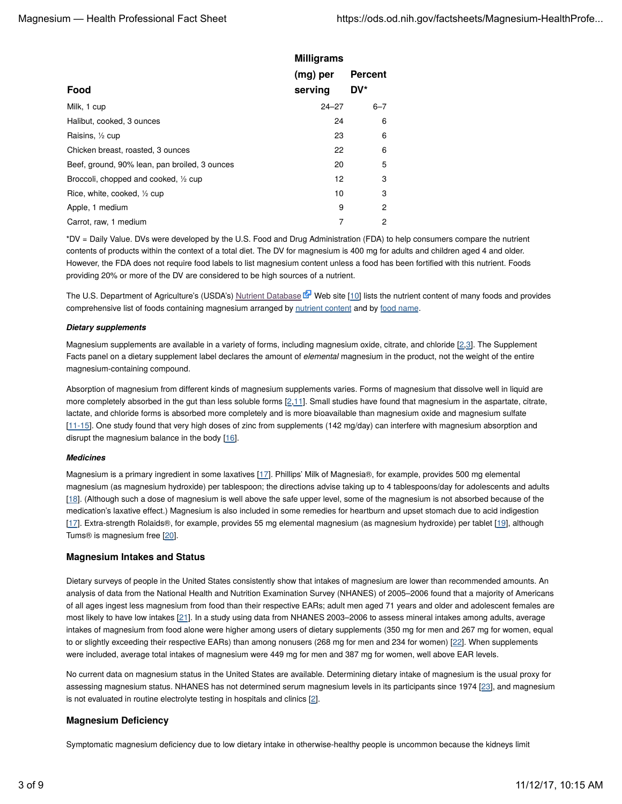|                                               | <b>Milligrams</b> |                |
|-----------------------------------------------|-------------------|----------------|
|                                               | (mg) per          | <b>Percent</b> |
| Food                                          | serving           | DV*            |
| Milk, 1 cup                                   | $24 - 27$         | $6 - 7$        |
| Halibut, cooked, 3 ounces                     | 24                | 6              |
| Raisins, 1/2 cup                              | 23                | 6              |
| Chicken breast, roasted, 3 ounces             | 22                | 6              |
| Beef, ground, 90% lean, pan broiled, 3 ounces | 20                | 5              |
| Broccoli, chopped and cooked, 1/2 cup         | 12                | 3              |
| Rice, white, cooked, 1/2 cup                  | 10                | 3              |
| Apple, 1 medium                               | 9                 | 2              |
| Carrot, raw, 1 medium                         | 7                 | 2              |

\*DV = Daily Value. DVs were developed by the U.S. Food and Drug Administration (FDA) to help consumers compare the nutrient contents of products within the context of a total diet. The DV for magnesium is 400 mg for adults and children aged 4 and older. However, the FDA does not require food labels to list magnesium content unless a food has been fortified with this nutrient. Foods providing 20% or more of the DV are considered to be high sources of a nutrient.

The U.S. Department of Agriculture's (USDA's) Nutrient Database  $\mathbb{F}$  Web site [10] lists the nutrient content of many foods and provides comprehensive list of foods containing magnesium arranged by nutrient content and by food name.

#### *Dietary supplements*

Magnesium supplements are available in a variety of forms, including magnesium oxide, citrate, and chloride [2,3]. The Supplement Facts panel on a dietary supplement label declares the amount of *elemental* magnesium in the product, not the weight of the entire magnesium-containing compound.

Absorption of magnesium from different kinds of magnesium supplements varies. Forms of magnesium that dissolve well in liquid are more completely absorbed in the gut than less soluble forms [2,11]. Small studies have found that magnesium in the aspartate, citrate, lactate, and chloride forms is absorbed more completely and is more bioavailable than magnesium oxide and magnesium sulfate [11-15]. One study found that very high doses of zinc from supplements (142 mg/day) can interfere with magnesium absorption and disrupt the magnesium balance in the body [16].

# *Medicines*

Magnesium is a primary ingredient in some laxatives [17]. Phillips' Milk of Magnesia®, for example, provides 500 mg elemental magnesium (as magnesium hydroxide) per tablespoon; the directions advise taking up to 4 tablespoons/day for adolescents and adults [18]. (Although such a dose of magnesium is well above the safe upper level, some of the magnesium is not absorbed because of the medication's laxative effect.) Magnesium is also included in some remedies for heartburn and upset stomach due to acid indigestion [17]. Extra-strength Rolaids®, for example, provides 55 mg elemental magnesium (as magnesium hydroxide) per tablet [19], although Tums® is magnesium free [20].

# **Magnesium Intakes and Status**

Dietary surveys of people in the United States consistently show that intakes of magnesium are lower than recommended amounts. An analysis of data from the National Health and Nutrition Examination Survey (NHANES) of 2005–2006 found that a majority of Americans of all ages ingest less magnesium from food than their respective EARs; adult men aged 71 years and older and adolescent females are most likely to have low intakes [21]. In a study using data from NHANES 2003-2006 to assess mineral intakes among adults, average intakes of magnesium from food alone were higher among users of dietary supplements (350 mg for men and 267 mg for women, equal to or slightly exceeding their respective EARs) than among nonusers (268 mg for men and 234 for women) [22]. When supplements were included, average total intakes of magnesium were 449 mg for men and 387 mg for women, well above EAR levels.

No current data on magnesium status in the United States are available. Determining dietary intake of magnesium is the usual proxy for assessing magnesium status. NHANES has not determined serum magnesium levels in its participants since 1974 [23], and magnesium is not evaluated in routine electrolyte testing in hospitals and clinics [2].

# **Magnesium Deficiency**

Symptomatic magnesium deficiency due to low dietary intake in otherwise-healthy people is uncommon because the kidneys limit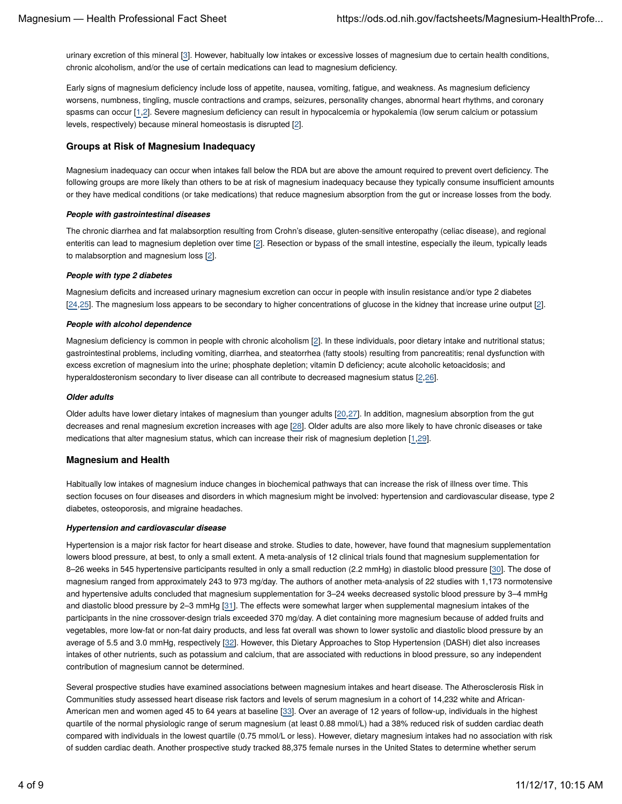urinary excretion of this mineral [3]. However, habitually low intakes or excessive losses of magnesium due to certain health conditions, chronic alcoholism, and/or the use of certain medications can lead to magnesium deficiency.

Early signs of magnesium deficiency include loss of appetite, nausea, vomiting, fatigue, and weakness. As magnesium deficiency worsens, numbness, tingling, muscle contractions and cramps, seizures, personality changes, abnormal heart rhythms, and coronary spasms can occur [1,2]. Severe magnesium deficiency can result in hypocalcemia or hypokalemia (low serum calcium or potassium levels, respectively) because mineral homeostasis is disrupted [2].

#### **Groups at Risk of Magnesium Inadequacy**

Magnesium inadequacy can occur when intakes fall below the RDA but are above the amount required to prevent overt deficiency. The following groups are more likely than others to be at risk of magnesium inadequacy because they typically consume insufficient amounts or they have medical conditions (or take medications) that reduce magnesium absorption from the gut or increase losses from the body.

#### *People with gastrointestinal diseases*

The chronic diarrhea and fat malabsorption resulting from Crohn's disease, gluten-sensitive enteropathy (celiac disease), and regional enteritis can lead to magnesium depletion over time [2]. Resection or bypass of the small intestine, especially the ileum, typically leads to malabsorption and magnesium loss [2].

#### *People with type 2 diabetes*

Magnesium deficits and increased urinary magnesium excretion can occur in people with insulin resistance and/or type 2 diabetes [24,25]. The magnesium loss appears to be secondary to higher concentrations of glucose in the kidney that increase urine output [2].

#### *People with alcohol dependence*

Magnesium deficiency is common in people with chronic alcoholism [2]. In these individuals, poor dietary intake and nutritional status; gastrointestinal problems, including vomiting, diarrhea, and steatorrhea (fatty stools) resulting from pancreatitis; renal dysfunction with excess excretion of magnesium into the urine; phosphate depletion; vitamin D deficiency; acute alcoholic ketoacidosis; and hyperaldosteronism secondary to liver disease can all contribute to decreased magnesium status [2,26].

#### *Older adults*

Older adults have lower dietary intakes of magnesium than younger adults [20,27]. In addition, magnesium absorption from the gut decreases and renal magnesium excretion increases with age [28]. Older adults are also more likely to have chronic diseases or take medications that alter magnesium status, which can increase their risk of magnesium depletion [1,29].

#### **Magnesium and Health**

Habitually low intakes of magnesium induce changes in biochemical pathways that can increase the risk of illness over time. This section focuses on four diseases and disorders in which magnesium might be involved: hypertension and cardiovascular disease, type 2 diabetes, osteoporosis, and migraine headaches.

#### *Hypertension and cardiovascular disease*

Hypertension is a major risk factor for heart disease and stroke. Studies to date, however, have found that magnesium supplementation lowers blood pressure, at best, to only a small extent. A meta-analysis of 12 clinical trials found that magnesium supplementation for 8-26 weeks in 545 hypertensive participants resulted in only a small reduction (2.2 mmHg) in diastolic blood pressure [30]. The dose of magnesium ranged from approximately 243 to 973 mg/day. The authors of another meta-analysis of 22 studies with 1,173 normotensive and hypertensive adults concluded that magnesium supplementation for 3–24 weeks decreased systolic blood pressure by 3–4 mmHg and diastolic blood pressure by 2-3 mmHg [31]. The effects were somewhat larger when supplemental magnesium intakes of the participants in the nine crossover-design trials exceeded 370 mg/day. A diet containing more magnesium because of added fruits and vegetables, more low-fat or non-fat dairy products, and less fat overall was shown to lower systolic and diastolic blood pressure by an average of 5.5 and 3.0 mmHg, respectively [32]. However, this Dietary Approaches to Stop Hypertension (DASH) diet also increases intakes of other nutrients, such as potassium and calcium, that are associated with reductions in blood pressure, so any independent contribution of magnesium cannot be determined.

Several prospective studies have examined associations between magnesium intakes and heart disease. The Atherosclerosis Risk in Communities study assessed heart disease risk factors and levels of serum magnesium in a cohort of 14,232 white and African-American men and women aged 45 to 64 years at baseline [33]. Over an average of 12 years of follow-up, individuals in the highest quartile of the normal physiologic range of serum magnesium (at least 0.88 mmol/L) had a 38% reduced risk of sudden cardiac death compared with individuals in the lowest quartile (0.75 mmol/L or less). However, dietary magnesium intakes had no association with risk of sudden cardiac death. Another prospective study tracked 88,375 female nurses in the United States to determine whether serum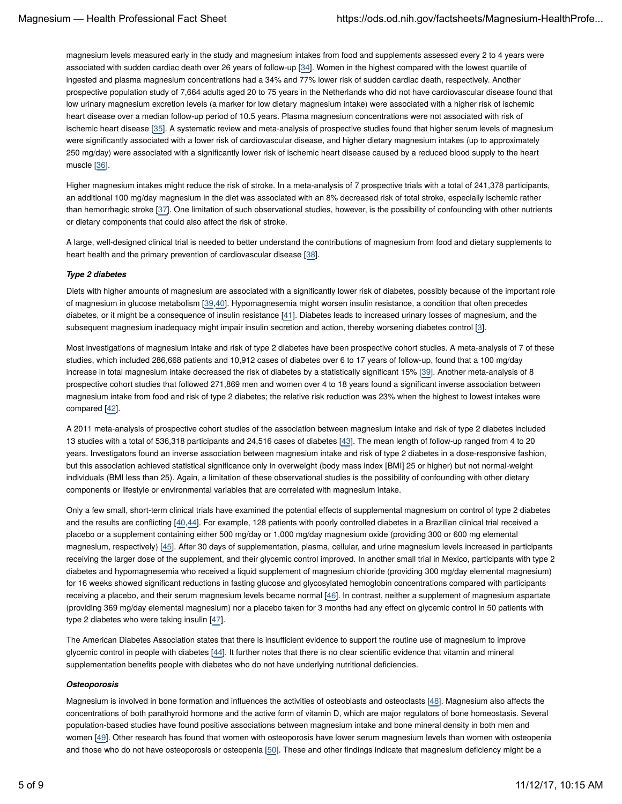magnesium levels measured early in the study and magnesium intakes from food and supplements assessed every 2 to 4 years were associated with sudden cardiac death over 26 years of follow-up [34]. Women in the highest compared with the lowest quartile of ingested and plasma magnesium concentrations had a 34% and 77% lower risk of sudden cardiac death, respectively. Another prospective population study of 7,664 adults aged 20 to 75 years in the Netherlands who did not have cardiovascular disease found that low urinary magnesium excretion levels (a marker for low dietary magnesium intake) were associated with a higher risk of ischemic heart disease over a median follow-up period of 10.5 years. Plasma magnesium concentrations were not associated with risk of ischemic heart disease [35]. A systematic review and meta-analysis of prospective studies found that higher serum levels of magnesium were significantly associated with a lower risk of cardiovascular disease, and higher dietary magnesium intakes (up to approximately 250 mg/day) were associated with a significantly lower risk of ischemic heart disease caused by a reduced blood supply to the heart muscle [36].

Higher magnesium intakes might reduce the risk of stroke. In a meta-analysis of 7 prospective trials with a total of 241,378 participants, an additional 100 mg/day magnesium in the diet was associated with an 8% decreased risk of total stroke, especially ischemic rather than hemorrhagic stroke [37]. One limitation of such observational studies, however, is the possibility of confounding with other nutrients or dietary components that could also affect the risk of stroke.

A large, well-designed clinical trial is needed to better understand the contributions of magnesium from food and dietary supplements to heart health and the primary prevention of cardiovascular disease [38].

#### *Type 2 diabetes*

Diets with higher amounts of magnesium are associated with a significantly lower risk of diabetes, possibly because of the important role of magnesium in glucose metabolism [39,40]. Hypomagnesemia might worsen insulin resistance, a condition that often precedes diabetes, or it might be a consequence of insulin resistance [41]. Diabetes leads to increased urinary losses of magnesium, and the subsequent magnesium inadequacy might impair insulin secretion and action, thereby worsening diabetes control [3].

Most investigations of magnesium intake and risk of type 2 diabetes have been prospective cohort studies. A meta-analysis of 7 of these studies, which included 286,668 patients and 10,912 cases of diabetes over 6 to 17 years of follow-up, found that a 100 mg/day increase in total magnesium intake decreased the risk of diabetes by a statistically significant 15% [39]. Another meta-analysis of 8 prospective cohort studies that followed 271,869 men and women over 4 to 18 years found a significant inverse association between magnesium intake from food and risk of type 2 diabetes; the relative risk reduction was 23% when the highest to lowest intakes were compared [42].

A 2011 meta-analysis of prospective cohort studies of the association between magnesium intake and risk of type 2 diabetes included 13 studies with a total of 536,318 participants and 24,516 cases of diabetes [43]. The mean length of follow-up ranged from 4 to 20 years. Investigators found an inverse association between magnesium intake and risk of type 2 diabetes in a dose-responsive fashion, but this association achieved statistical significance only in overweight (body mass index [BMI] 25 or higher) but not normal-weight individuals (BMI less than 25). Again, a limitation of these observational studies is the possibility of confounding with other dietary components or lifestyle or environmental variables that are correlated with magnesium intake.

Only a few small, short-term clinical trials have examined the potential effects of supplemental magnesium on control of type 2 diabetes and the results are conflicting [40,44]. For example, 128 patients with poorly controlled diabetes in a Brazilian clinical trial received a placebo or a supplement containing either 500 mg/day or 1,000 mg/day magnesium oxide (providing 300 or 600 mg elemental magnesium, respectively) [45]. After 30 days of supplementation, plasma, cellular, and urine magnesium levels increased in participants receiving the larger dose of the supplement, and their glycemic control improved. In another small trial in Mexico, participants with type 2 diabetes and hypomagnesemia who received a liquid supplement of magnesium chloride (providing 300 mg/day elemental magnesium) for 16 weeks showed significant reductions in fasting glucose and glycosylated hemoglobin concentrations compared with participants receiving a placebo, and their serum magnesium levels became normal [46]. In contrast, neither a supplement of magnesium aspartate (providing 369 mg/day elemental magnesium) nor a placebo taken for 3 months had any effect on glycemic control in 50 patients with type 2 diabetes who were taking insulin [47].

The American Diabetes Association states that there is insufficient evidence to support the routine use of magnesium to improve glycemic control in people with diabetes [44]. It further notes that there is no clear scientific evidence that vitamin and mineral supplementation benefits people with diabetes who do not have underlying nutritional deficiencies.

#### *Osteoporosis*

Magnesium is involved in bone formation and influences the activities of osteoblasts and osteoclasts [48]. Magnesium also affects the concentrations of both parathyroid hormone and the active form of vitamin D, which are major regulators of bone homeostasis. Several population-based studies have found positive associations between magnesium intake and bone mineral density in both men and women [49]. Other research has found that women with osteoporosis have lower serum magnesium levels than women with osteopenia and those who do not have osteoporosis or osteopenia [50]. These and other findings indicate that magnesium deficiency might be a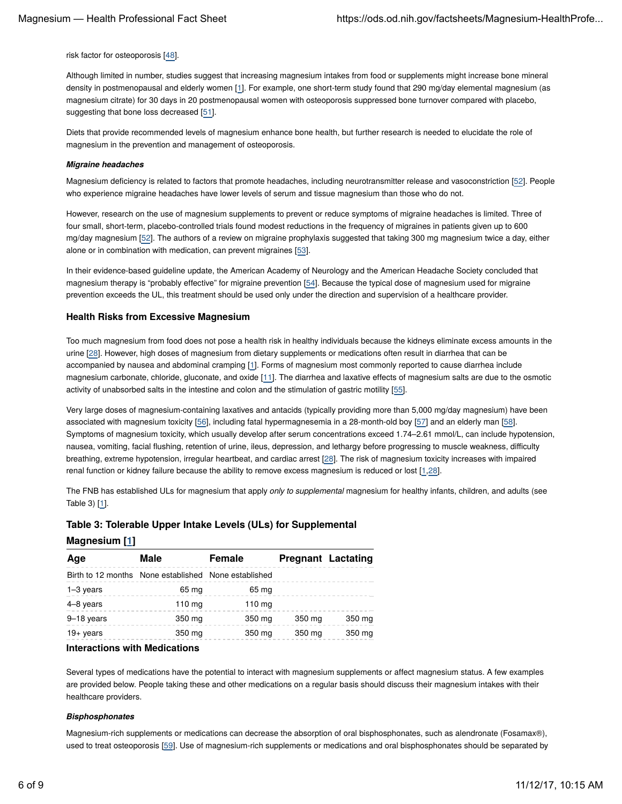risk factor for osteoporosis [48].

Although limited in number, studies suggest that increasing magnesium intakes from food or supplements might increase bone mineral density in postmenopausal and elderly women [1]. For example, one short-term study found that 290 mg/day elemental magnesium (as magnesium citrate) for 30 days in 20 postmenopausal women with osteoporosis suppressed bone turnover compared with placebo, suggesting that bone loss decreased [51].

Diets that provide recommended levels of magnesium enhance bone health, but further research is needed to elucidate the role of magnesium in the prevention and management of osteoporosis.

#### *Migraine headaches*

Magnesium deficiency is related to factors that promote headaches, including neurotransmitter release and vasoconstriction [52]. People who experience migraine headaches have lower levels of serum and tissue magnesium than those who do not.

However, research on the use of magnesium supplements to prevent or reduce symptoms of migraine headaches is limited. Three of four small, short-term, placebo-controlled trials found modest reductions in the frequency of migraines in patients given up to 600 mg/day magnesium [52]. The authors of a review on migraine prophylaxis suggested that taking 300 mg magnesium twice a day, either alone or in combination with medication, can prevent migraines [53].

In their evidence-based guideline update, the American Academy of Neurology and the American Headache Society concluded that magnesium therapy is "probably effective" for migraine prevention [54]. Because the typical dose of magnesium used for migraine prevention exceeds the UL, this treatment should be used only under the direction and supervision of a healthcare provider.

#### **Health Risks from Excessive Magnesium**

Too much magnesium from food does not pose a health risk in healthy individuals because the kidneys eliminate excess amounts in the urine [28]. However, high doses of magnesium from dietary supplements or medications often result in diarrhea that can be accompanied by nausea and abdominal cramping [1]. Forms of magnesium most commonly reported to cause diarrhea include magnesium carbonate, chloride, gluconate, and oxide [11]. The diarrhea and laxative effects of magnesium salts are due to the osmotic activity of unabsorbed salts in the intestine and colon and the stimulation of gastric motility [55].

Very large doses of magnesium-containing laxatives and antacids (typically providing more than 5,000 mg/day magnesium) have been associated with magnesium toxicity [56], including fatal hypermagnesemia in a 28-month-old boy [57] and an elderly man [58]. Symptoms of magnesium toxicity, which usually develop after serum concentrations exceed 1.74–2.61 mmol/L, can include hypotension, nausea, vomiting, facial flushing, retention of urine, ileus, depression, and lethargy before progressing to muscle weakness, difficulty breathing, extreme hypotension, irregular heartbeat, and cardiac arrest [28]. The risk of magnesium toxicity increases with impaired renal function or kidney failure because the ability to remove excess magnesium is reduced or lost [1,28].

The FNB has established ULs for magnesium that apply *only to supplemental* magnesium for healthy infants, children, and adults (see Table 3) [1].

# **Table 3: Tolerable Upper Intake Levels (ULs) for Supplemental**

| <b>Magnesium</b> [ <u>1]</u> |  |
|------------------------------|--|
|------------------------------|--|

| Age                                                  | Male             | <b>Female</b> |        | <b>Pregnant Lactating</b> |
|------------------------------------------------------|------------------|---------------|--------|---------------------------|
| Birth to 12 months None established None established |                  |               |        |                           |
| 1-3 years                                            | 65 mg            | 65 mg         |        |                           |
| 4-8 years                                            | $110 \text{ mg}$ | 110 $mg$      |        |                           |
| 9-18 years                                           | 350 mg           | 350 mg        | 350 mg | 350 mg                    |
| $19+$ years                                          | 350 mg           | 350 mg        | 350 mg | 350 mg                    |

# **Interactions with Medications**

Several types of medications have the potential to interact with magnesium supplements or affect magnesium status. A few examples are provided below. People taking these and other medications on a regular basis should discuss their magnesium intakes with their healthcare providers.

#### *Bisphosphonates*

Magnesium-rich supplements or medications can decrease the absorption of oral bisphosphonates, such as alendronate (Fosamax®), used to treat osteoporosis [59]. Use of magnesium-rich supplements or medications and oral bisphosphonates should be separated by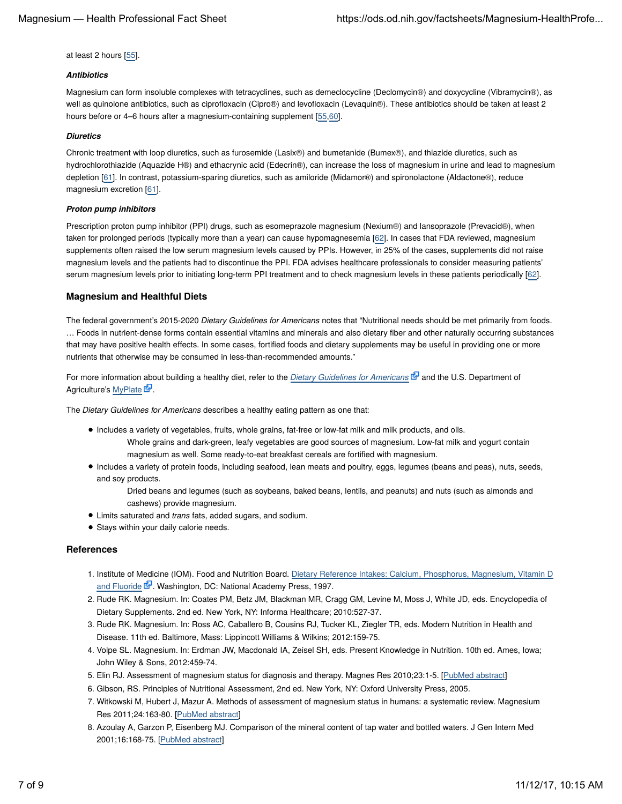at least 2 hours [55].

#### *Antibiotics*

Magnesium can form insoluble complexes with tetracyclines, such as demeclocycline (Declomycin®) and doxycycline (Vibramycin®), as well as quinolone antibiotics, such as ciprofloxacin (Cipro®) and levofloxacin (Levaquin®). These antibiotics should be taken at least 2 hours before or 4–6 hours after a magnesium-containing supplement [55,60].

#### *Diuretics*

Chronic treatment with loop diuretics, such as furosemide (Lasix®) and bumetanide (Bumex®), and thiazide diuretics, such as hydrochlorothiazide (Aquazide H®) and ethacrynic acid (Edecrin®), can increase the loss of magnesium in urine and lead to magnesium depletion [61]. In contrast, potassium-sparing diuretics, such as amiloride (Midamor®) and spironolactone (Aldactone®), reduce magnesium excretion [61].

#### *Proton pump inhibitors*

Prescription proton pump inhibitor (PPI) drugs, such as esomeprazole magnesium (Nexium®) and lansoprazole (Prevacid®), when taken for prolonged periods (typically more than a year) can cause hypomagnesemia [62]. In cases that FDA reviewed, magnesium supplements often raised the low serum magnesium levels caused by PPIs. However, in 25% of the cases, supplements did not raise magnesium levels and the patients had to discontinue the PPI. FDA advises healthcare professionals to consider measuring patients' serum magnesium levels prior to initiating long-term PPI treatment and to check magnesium levels in these patients periodically [62].

# **Magnesium and Healthful Diets**

The federal government's 2015-2020 *Dietary Guidelines for Americans* notes that "Nutritional needs should be met primarily from foods. … Foods in nutrient-dense forms contain essential vitamins and minerals and also dietary fiber and other naturally occurring substances that may have positive health effects. In some cases, fortified foods and dietary supplements may be useful in providing one or more nutrients that otherwise may be consumed in less-than-recommended amounts."

For more information about building a healthy diet, refer to the *Dietary Guidelines for Americans* E<sub>d</sub> and the U.S. Department of Agriculture's MyPlate E.

The *Dietary Guidelines for Americans* describes a healthy eating pattern as one that:

- Includes a variety of vegetables, fruits, whole grains, fat-free or low-fat milk and milk products, and oils.
	- Whole grains and dark-green, leafy vegetables are good sources of magnesium. Low-fat milk and yogurt contain magnesium as well. Some ready-to-eat breakfast cereals are fortified with magnesium.
- Includes a variety of protein foods, including seafood, lean meats and poultry, eggs, legumes (beans and peas), nuts, seeds, and soy products.

Dried beans and legumes (such as soybeans, baked beans, lentils, and peanuts) and nuts (such as almonds and cashews) provide magnesium.

- Limits saturated and *trans* fats, added sugars, and sodium.
- Stays within your daily calorie needs.

# **References**

- 1. Institute of Medicine (IOM). Food and Nutrition Board. Dietary Reference Intakes: Calcium, Phosphorus, Magnesium, Vitamin D and Fluoride & Washington, DC: National Academy Press, 1997.
- 2. Rude RK. Magnesium. In: Coates PM, Betz JM, Blackman MR, Cragg GM, Levine M, Moss J, White JD, eds. Encyclopedia of Dietary Supplements. 2nd ed. New York, NY: Informa Healthcare; 2010:527-37.
- 3. Rude RK. Magnesium. In: Ross AC, Caballero B, Cousins RJ, Tucker KL, Ziegler TR, eds. Modern Nutrition in Health and Disease. 11th ed. Baltimore, Mass: Lippincott Williams & Wilkins; 2012:159-75.
- 4. Volpe SL. Magnesium. In: Erdman JW, Macdonald IA, Zeisel SH, eds. Present Knowledge in Nutrition. 10th ed. Ames, Iowa; John Wiley & Sons, 2012:459-74.
- 5. Elin RJ. Assessment of magnesium status for diagnosis and therapy. Magnes Res 2010;23:1-5. [PubMed abstract]
- 6. Gibson, RS. Principles of Nutritional Assessment, 2nd ed. New York, NY: Oxford University Press, 2005.
- 7. Witkowski M, Hubert J, Mazur A. Methods of assessment of magnesium status in humans: a systematic review. Magnesium Res 2011;24:163-80. [PubMed abstract]
- 8. Azoulay A, Garzon P, Eisenberg MJ. Comparison of the mineral content of tap water and bottled waters. J Gen Intern Med 2001;16:168-75. [PubMed abstract]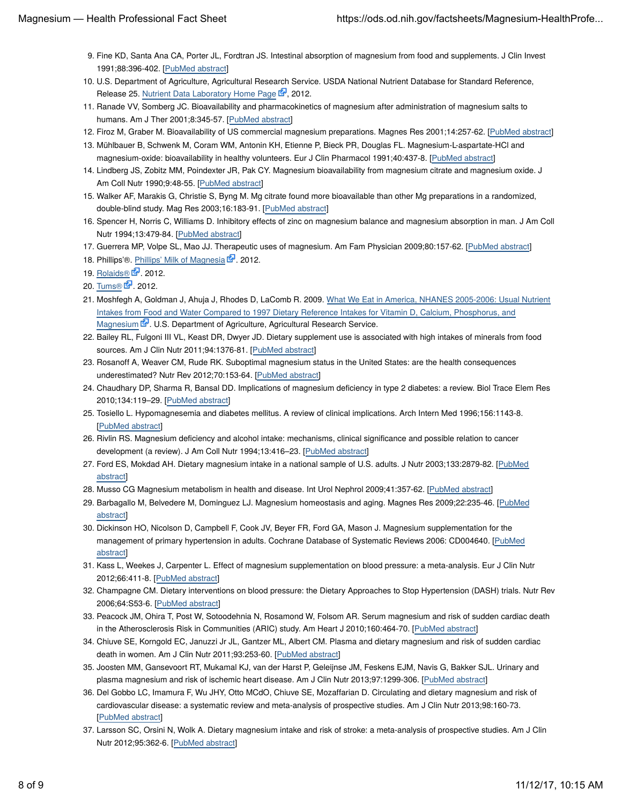- Fine KD, Santa Ana CA, Porter JL, Fordtran JS. Intestinal absorption of magnesium from food and supplements. J Clin Invest 9. 1991;88:396-402. [PubMed abstract]
- 10. U.S. Department of Agriculture, Agricultural Research Service. USDA National Nutrient Database for Standard Reference, Release 25. Nutrient Data Laboratory Home Page & 2012.
- 11. Ranade VV, Somberg JC. Bioavailability and pharmacokinetics of magnesium after administration of magnesium salts to humans. Am J Ther 2001;8:345-57. [PubMed abstract]
- 12. Firoz M, Graber M. Bioavailability of US commercial magnesium preparations. Magnes Res 2001;14:257-62. [PubMed abstract]
- 13. Mühlbauer B, Schwenk M, Coram WM, Antonin KH, Etienne P, Bieck PR, Douglas FL. Magnesium-L-aspartate-HCl and magnesium-oxide: bioavailability in healthy volunteers. Eur J Clin Pharmacol 1991;40:437-8. [PubMed abstract]
- 14. Lindberg JS, Zobitz MM, Poindexter JR, Pak CY. Magnesium bioavailability from magnesium citrate and magnesium oxide. J Am Coll Nutr 1990;9:48-55. [PubMed abstract]
- 15. Walker AF, Marakis G, Christie S, Byng M. Mg citrate found more bioavailable than other Mg preparations in a randomized, double-blind study. Mag Res 2003;16:183-91. [PubMed abstract]
- 16. Spencer H, Norris C, Williams D. Inhibitory effects of zinc on magnesium balance and magnesium absorption in man. J Am Coll Nutr 1994;13:479-84. [PubMed abstract]
- 17. Guerrera MP, Volpe SL, Mao JJ. Therapeutic uses of magnesium. Am Fam Physician 2009;80:157-62. [PubMed abstract]
- 18. Phillips'®. Phillips' Milk of Magnesia 2012.
- 19. Rolaids® **&**. 2012.
- 20. Tums® **&** 2012.
- 21. Moshfegh A, Goldman J, Ahuja J, Rhodes D, LaComb R. 2009. What We Eat in America, NHANES 2005-2006: Usual Nutrient Intakes from Food and Water Compared to 1997 Dietary Reference Intakes for Vitamin D, Calcium, Phosphorus, and Magnesium & U.S. Department of Agriculture, Agricultural Research Service.
- 22. Bailey RL, Fulgoni III VL, Keast DR, Dwyer JD. Dietary supplement use is associated with high intakes of minerals from food sources. Am J Clin Nutr 2011;94:1376-81. [PubMed abstract]
- 23. Rosanoff A, Weaver CM, Rude RK. Suboptimal magnesium status in the United States: are the health consequences underestimated? Nutr Rev 2012;70:153-64. [PubMed abstract]
- 24. Chaudhary DP, Sharma R, Bansal DD. Implications of magnesium deficiency in type 2 diabetes: a review. Biol Trace Elem Res 2010;134:119–29. [PubMed abstract]
- 25. Tosiello L. Hypomagnesemia and diabetes mellitus. A review of clinical implications. Arch Intern Med 1996;156:1143-8. [PubMed abstract]
- 26. Rivlin RS. Magnesium deficiency and alcohol intake: mechanisms, clinical significance and possible relation to cancer development (a review). J Am Coll Nutr 1994;13:416–23. [PubMed abstract]
- 27. Ford ES, Mokdad AH. Dietary magnesium intake in a national sample of U.S. adults. J Nutr 2003;133:2879-82. [PubMed abstract]
- 28. Musso CG Magnesium metabolism in health and disease. Int Urol Nephrol 2009;41:357-62. [PubMed abstract]
- 29. Barbagallo M, Belvedere M, Dominguez LJ. Magnesium homeostasis and aging. Magnes Res 2009;22:235-46. [<u>PubMed</u> abstract]
- 30. Dickinson HO, Nicolson D, Campbell F, Cook JV, Beyer FR, Ford GA, Mason J. Magnesium supplementation for the management of primary hypertension in adults. Cochrane Database of Systematic Reviews 2006: CD004640. [PubMed abstract]
- 31. Kass L, Weekes J, Carpenter L. Effect of magnesium supplementation on blood pressure: a meta-analysis. Eur J Clin Nutr 2012;66:411-8. [PubMed abstract]
- 32. Champagne CM. Dietary interventions on blood pressure: the Dietary Approaches to Stop Hypertension (DASH) trials. Nutr Rev 2006;64:S53-6. [PubMed abstract]
- 33. Peacock JM, Ohira T, Post W, Sotoodehnia N, Rosamond W, Folsom AR. Serum magnesium and risk of sudden cardiac death in the Atherosclerosis Risk in Communities (ARIC) study. Am Heart J 2010;160:464-70. [PubMed abstract]
- 34. Chiuve SE, Korngold EC, Januzzi Jr JL, Gantzer ML, Albert CM. Plasma and dietary magnesium and risk of sudden cardiac death in women. Am J Clin Nutr 2011;93:253-60. [PubMed abstract]
- 35. Joosten MM, Gansevoort RT, Mukamal KJ, van der Harst P, Geleijnse JM, Feskens EJM, Navis G, Bakker SJL. Urinary and plasma magnesium and risk of ischemic heart disease. Am J Clin Nutr 2013;97:1299-306. [PubMed abstract]
- 36. Del Gobbo LC, Imamura F, Wu JHY, Otto MCdO, Chiuve SE, Mozaffarian D. Circulating and dietary magnesium and risk of cardiovascular disease: a systematic review and meta-analysis of prospective studies. Am J Clin Nutr 2013;98:160-73. [PubMed abstract]
- 37. Larsson SC, Orsini N, Wolk A. Dietary magnesium intake and risk of stroke: a meta-analysis of prospective studies. Am J Clin Nutr 2012;95:362-6. [PubMed abstract]